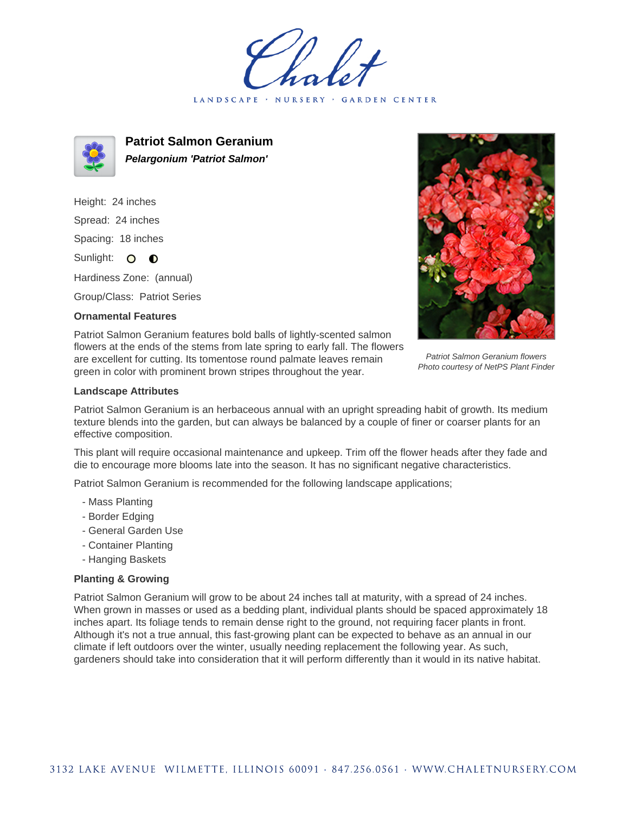LANDSCAPE · NURSERY · GARDEN CENTER



**Patriot Salmon Geranium Pelargonium 'Patriot Salmon'**

Height: 24 inches Spread: 24 inches Spacing: 18 inches Sunlight: O **O** 

Hardiness Zone: (annual)

Group/Class: Patriot Series

## **Ornamental Features**



Patriot Salmon Geranium flowers Photo courtesy of NetPS Plant Finder

Patriot Salmon Geranium features bold balls of lightly-scented salmon flowers at the ends of the stems from late spring to early fall. The flowers are excellent for cutting. Its tomentose round palmate leaves remain green in color with prominent brown stripes throughout the year.

## **Landscape Attributes**

Patriot Salmon Geranium is an herbaceous annual with an upright spreading habit of growth. Its medium texture blends into the garden, but can always be balanced by a couple of finer or coarser plants for an effective composition.

This plant will require occasional maintenance and upkeep. Trim off the flower heads after they fade and die to encourage more blooms late into the season. It has no significant negative characteristics.

Patriot Salmon Geranium is recommended for the following landscape applications;

- Mass Planting
- Border Edging
- General Garden Use
- Container Planting
- Hanging Baskets

## **Planting & Growing**

Patriot Salmon Geranium will grow to be about 24 inches tall at maturity, with a spread of 24 inches. When grown in masses or used as a bedding plant, individual plants should be spaced approximately 18 inches apart. Its foliage tends to remain dense right to the ground, not requiring facer plants in front. Although it's not a true annual, this fast-growing plant can be expected to behave as an annual in our climate if left outdoors over the winter, usually needing replacement the following year. As such, gardeners should take into consideration that it will perform differently than it would in its native habitat.